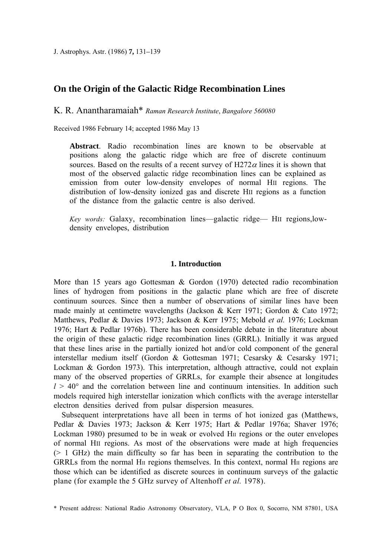J. Astrophys. Astr. (1986) **7,** 131–139

# **On the Origin of the Galactic Ridge Recombination Lines**

Κ. R. Anantharamaiah\* *Raman Research Institute*, *Bangalore 560080*

Received 1986 February 14; accepted 1986 May 13

**Abstract**. Radio recombination lines are known to be observable at positions along the galactic ridge which are free of discrete continuum sources. Based on the results of a recent survey of  $H272\alpha$  lines it is shown that most of the observed galactic ridge recombination lines can be explained as emission from outer low-density envelopes of normal HII regions. The distribution of low-density ionized gas and discrete HII regions as a function of the distance from the galactic centre is also derived.

*Key words:* Galaxy, recombination lines—galactic ridge— HII regions,lowdensity envelopes, distribution

#### **1. Introduction**

More than 15 years ago Gottesman & Gordon (1970) detected radio recombination lines of hydrogen from positions in the galactic plane which are free of discrete continuum sources. Since then a number of observations of similar lines have been made mainly at centimetre wavelengths (Jackson & Kerr 1971; Gordon & Cato 1972; Matthews, Pedlar & Davies 1973; Jackson & Kerr 1975; Mebold *et al.* 1976; Lockman 1976; Hart & Pedlar 1976b). There has been considerable debate in the literature about the origin of these galactic ridge recombination lines (GRRL). Initially it was argued that these lines arise in the partially ionized hot and/or cold component of the general interstellar medium itself (Gordon & Gottesman 1971; Cesarsky & Cesarsky 1971; Lockman & Gordon 1973). This interpretation, although attractive, could not explain many of the observed properties of GRRLs, for example their absence at longitudes  $l > 40^{\circ}$  and the correlation between line and continuum intensities. In addition such models required high interstellar ionization which conflicts with the average interstellar electron densities derived from pulsar dispersion measures.

Subsequent interpretations have all been in terms of hot ionized gas (Matthews, Pedlar & Davies 1973; Jackson & Kerr 1975; Hart & Pedlar 1976a; Shaver 1976; Lockman 1980) presumed to be in weak or evolved HII regions or the outer envelopes of normal HII regions. As most of the observations were made at high frequencies  $(> 1$  GHz) the main difficulty so far has been in separating the contribution to the GRRLs from the normal H $\mu$  regions themselves. In this context, normal H $\mu$  regions are those which can be identified as discrete sources in continuum surveys of the galactic plane (for example the 5 GHz survey of Altenhoff *et al.* 1978).

<sup>\*</sup> Present address: National Radio Astronomy Observatory, VLA, Ρ Ο Box 0, Socorro, NM 87801, USA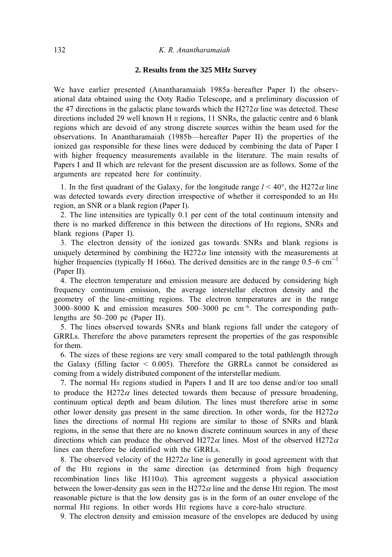# **2. Results from the 325 MHz Survey**

We have earlier presented (Anantharamaiah 1985a–hereafter Paper I) the observational data obtained using the Ooty Radio Telescope, and a preliminary discussion of the 47 directions in the galactic plane towards which the H272 $\alpha$  line was detected. These directions included 29 well known Η II regions, 11 SNRs, the galactic centre and 6 blank regions which are devoid of any strong discrete sources within the beam used for the observations. In Anantharamaiah (1985b—hereafter Paper II) the properties of the ionized gas responsible for these lines were deduced by combining the data of Paper I with higher frequency measurements available in the literature. The main results of Papers I and II which are relevant for the present discussion are as follows. Some of the arguments are repeated here for continuity.

1. In the first quadrant of the Galaxy, for the longitude range  $l < 40^{\circ}$ , the H272 $\alpha$  line was detected towards every direction irrespective of whether it corresponded to an HII region, an SNR or a blank region (Paper I).

2. The line intensities are typically 0.1 per cent of the total continuum intensity and there is no marked difference in this between the directions of HII regions, SNRs and blank regions (Paper I).

3. The electron density of the ionized gas towards SNRs and blank regions is uniquely determined by combining the H272 $\alpha$  line intensity with the measurements at higher frequencies (typically H 166 $\alpha$ ). The derived densities are in the range 0.5–6 cm<sup>-3</sup> (Paper II).

4. The electron temperature and emission measure are deduced by considering high frequency continuum emission, the average interstellar electron density and the geometry of the line-emitting regions. The electron temperatures are in the range  $3000-8000$  K and emission measures  $500-3000$  pc cm<sup>-6</sup>. The corresponding pathlengths are 50–200 pc (Paper II).

5. The lines observed towards SNRs and blank regions fall under the category of GRRLs. Therefore the above parameters represent the properties of the gas responsible for them.

6. The sizes of these regions are very small compared to the total pathlength through the Galaxy (filling factor  $\leq$  0.005). Therefore the GRRLs cannot be considered as coming from a widely distributed component of the interstellar medium.

7. The normal HII regions studied in Papers I and II are too dense and/or too small to produce the H272 $\alpha$  lines detected towards them because of pressure broadening, continuum optical depth and beam dilution. The lines must therefore arise in some other lower density gas present in the same direction. In other words, for the H272 $\alpha$ lines the directions of normal HII regions are similar to those of SNRs and blank regions, in the sense that there are no known discrete continuum sources in any of these directions which can produce the observed H272 $\alpha$  lines. Most of the observed H272 $\alpha$ lines can therefore be identified with the GRRLs.

8. The observed velocity of the H272 $\alpha$  line is generally in good agreement with that of the HII regions in the same direction (as determined from high frequency recombination lines like H110 $\alpha$ ). This agreement suggests a physical association between the lower-density gas seen in the H272 $\alpha$  line and the dense HII region. The most reasonable picture is that the low density gas is in the form of an outer envelope of the normal HII regions. In other words HII regions have a core-halo structure.

9. The electron density and emission measure of the envelopes are deduced by using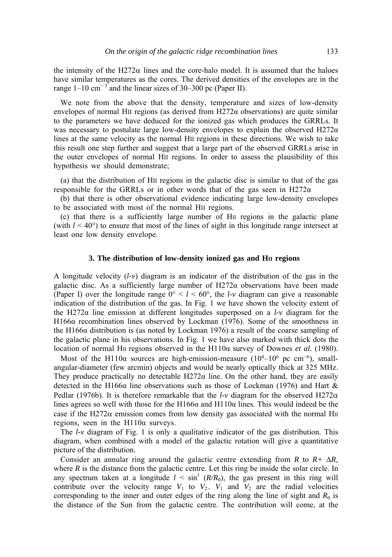the intensity of the H272 $\alpha$  lines and the core-halo model. It is assumed that the haloes have similar temperatures as the cores. The derived densities of the envelopes are in the range  $1-10 \text{ cm}^{-3}$  and the linear sizes of 30–300 pc (Paper II).

We note from the above that the density, temperature and sizes of low-density envelopes of normal HII regions (as derived from H272α observations) are quite similar to the parameters we have deduced for the ionized gas which produces the GRRLs. It was necessary to postulate large low-density envelopes to explain the observed H272 $\alpha$ lines at the same velocity as the normal HII regions in these directions. We wish to take this result one step further and suggest that a large part of the observed GRRLs arise in the outer envelopes of normal HII regions. In order to assess the plausibility of this hypothesis we should demonstrate;

(a) that the distribution of HII regions in the galactic disc is similar to that of the gas responsible for the GRRLs or in other words that of the gas seen in H272 $\alpha$ 

(b) that there is other observational evidence indicating large low-density envelopes to be associated with most of the normal HII regions.

(c) that there is a sufficiently large number of HII regions in the galactic plane (with  $l < 40^{\circ}$ ) to ensure that most of the lines of sight in this longitude range intersect at least one low density envelope.

## **3. The distribution of low-density ionized gas and HII regions**

A longitude velocity (*l-v*) diagram is an indicator of the distribution of the gas in the galactic disc. As a sufficiently large number of  $H272\alpha$  observations have been made (Paper I) over the longitude range  $0^{\circ} < l < 60^{\circ}$ , the *l-v* diagram can give a reasonable indication of the distribution of the gas. In Fig. 1 we have shown the velocity extent of the H272α line emission at different longitudes superposed on a *l-v* diagram for the H166α recombination lines observed by Lockman (1976). Some of the smoothness in the H166 $\alpha$  distribution is (as noted by Lockman 1976) a result of the coarse sampling of the galactic plane in his observations. In Fig. 1 we have also marked with thick dots the location of normal HII regions observed in the H110α survey of Downes *et al.* (1980).

Most of the H110 $\alpha$  sources are high-emission-measure (10<sup>4</sup>–10<sup>6</sup> pc cm<sup>-6</sup>), smallangular-diameter (few arcmin) objects and would be nearly optically thick at 325 MHz. They produce practically no detectable  $H272\alpha$  line. On the other hand, they are easily detected in the H166 $\alpha$  line observations such as those of Lockman (1976) and Hart  $\&$ Pedlar (1976b). It is therefore remarkable that the  $l\nu$  diagram for the observed H272 $\alpha$ lines agrees so well with those for the H166 $\alpha$  and H110 $\alpha$  lines. This would indeed be the case if the H272 $\alpha$  emission comes from low density gas associated with the normal H<sub>II</sub> regions, seen in the  $H110\alpha$  surveys.

The  $l\nu$  diagram of Fig. 1 is only a qualitative indicator of the gas distribution. This diagram, when combined with a model of the galactic rotation will give a quantitative picture of the distribution.

Consider an annular ring around the galactic centre extending from  $R$  to  $R + \Delta R$ , where *R* is the distance from the galactic centre. Let this ring be inside the solar circle. In any spectrum taken at a longitude  $l \le \sin^1 (R/R_0)$ , the gas present in this ring will contribute over the velocity range  $V_1$  to  $V_2$ .  $V_1$  and  $V_2$  are the radial velocities corresponding to the inner and outer edges of the ring along the line of sight and  $R_0$  is the distance of the Sun from the galactic centre. The contribution will come, at the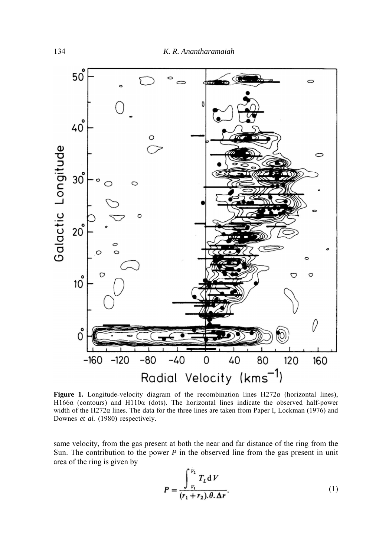

**Figure 1.** Longitude-velocity diagram of the recombination lines H272α (horizontal lines), H166α (contours) and H110 $α$  (dots). The horizontal lines indicate the observed half-power width of the H272 $\alpha$  lines. The data for the three lines are taken from Paper I, Lockman (1976) and Downes et al. (1980) respectively.

same velocity, from the gas present at both the near and far distance of the ring from the Sun. The contribution to the power  $P$  in the observed line from the gas present in unit area of the ring is given by

$$
P = \frac{\int_{V_1}^{V_2} T_L dV}{(r_1 + r_2) \theta \cdot \Delta r}.
$$
 (1)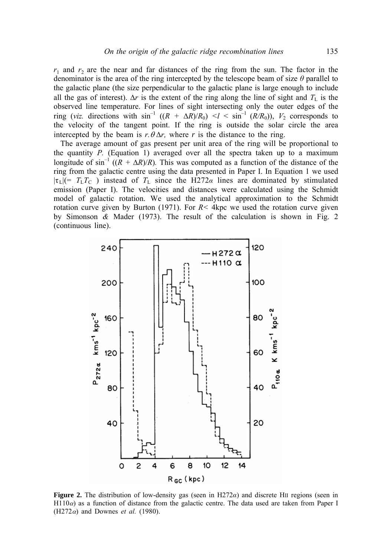$r_1$  and  $r_2$  are the near and far distances of the ring from the sun. The factor in the denominator is the area of the ring intercepted by the telescope beam of size *θ* parallel to the galactic plane (the size perpendicular to the galactic plane is large enough to include all the gas of interest).  $\Delta r$  is the extent of the ring along the line of sight and  $T_L$  is the observed line temperature. For lines of sight intersecting only the outer edges of the ring (*viz.* directions with  $\sin^{-1} ((R + \Delta R)/R_0)$   $\lt l \lt \sin^{-1} (R/R_0)$ ),  $V_2$  corresponds to the velocity of the tangent point. If the ring is outside the solar circle the area intercepted by the beam is  $r \theta \Delta r$ , where *r* is the distance to the ring.

The average amount of gas present per unit area of the ring will be proportional to the quantity  $P$ . (Equation 1) averaged over all the spectra taken up to a maximum longitude of  $\sin^{-1} ((R + \Delta R)/R)$ . This was computed as a function of the distance of the ring from the galactic centre using the data presented in Paper I. In Equation 1 we used  $|\tau_L| = T_L T_C$ ) instead of  $T_L$  since the H272*a* lines are dominated by stimulated emission (Paper I). The velocities and distances were calculated using the Schmidt model of galactic rotation. We used the analytical approximation to the Schmidt rotation curve given by Burton (1971). For  $R < 4kpc$  we used the rotation curve given by Simonson *&* Mader (1973). The result of the calculation is shown in Fig. 2 (continuous line).



**Figure 2.** The distribution of low-density gas (seen in H272*α*) and discrete HII regions (seen in  $H110\alpha$ ) as a function of distance from the galactic centre. The data used are taken from Paper I (H272 $\alpha$ ) and Downes *et al.* (1980).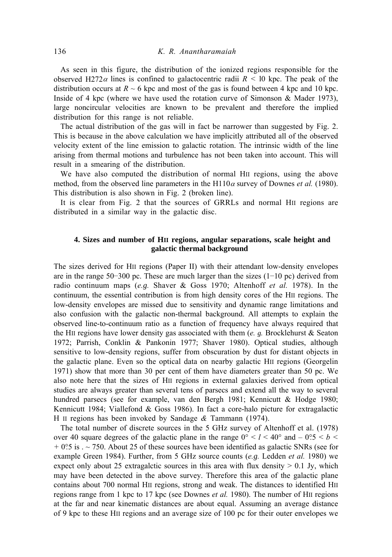As seen in this figure, the distribution of the ionized regions responsible for the observed H272 $\alpha$  lines is confined to galactocentric radii  $R \le 10$  kpc. The peak of the distribution occurs at  $R \sim 6$  kpc and most of the gas is found between 4 kpc and 10 kpc. Inside of 4 kpc (where we have used the rotation curve of Simonson & Mader 1973), large noncircular velocities are known to be prevalent and therefore the implied distribution for this range is not reliable.

The actual distribution of the gas will in fact be narrower than suggested by Fig. 2. This is because in the above calculation we have implicitly attributed all of the observed velocity extent of the line emission to galactic rotation. The intrinsic width of the line arising from thermal motions and turbulence has not been taken into account. This will result in a smearing of the distribution.

We have also computed the distribution of normal HII regions, using the above method, from the observed line parameters in the H110 $\alpha$  survey of Downes *et al.* (1980). This distribution is also shown in Fig. 2 (broken line).

It is clear from Fig. 2 that the sources of GRRLs and normal HII regions are distributed in a similar way in the galactic disc.

# **4. Sizes and number of HII regions, angular separations, scale height and galactic thermal background**

The sizes derived for HII regions (Paper II) with their attendant low-density envelopes are in the range 50–300 pc. These are much larger than the sizes  $(1-10$  pc) derived from radio continuum maps (*e.g.* Shaver & Goss 1970; Altenhoff *et al.* 1978). In the continuum, the essential contribution is from high density cores of the HII regions. The low-density envelopes are missed due to sensitivity and dynamic range limitations and also confusion with the galactic non-thermal background. All attempts to explain the observed line-to-continuum ratio as a function of frequency have always required that the HII regions have lower density gas associated with them (*e. g.* Brocklehurst & Seaton 1972; Parrish, Conklin & Pankonin 1977; Shaver 1980). Optical studies, although sensitive to low-density regions, suffer from obscuration by dust for distant objects in the galactic plane. Even so the optical data on nearby galactic HII regions (Georgelin 1971) show that more than 30 per cent of them have diameters greater than 50 pc. We also note here that the sizes of HII regions in external galaxies derived from optical studies are always greater than several tens of parsecs and extend all the way to several hundred parsecs (see for example, van den Bergh 1981; Kennicutt & Hodge 1980; Kennicutt 1984; Viallefond & Goss 1986). In fact a core-halo picture for extragalactic H II regions has been invoked by Sandage *&* Tammann (1974).

The total number of discrete sources in the 5 GHz survey of Altenhoff et al. (1978) over 40 square degrees of the galactic plane in the range  $0^{\circ} < l < 40^{\circ}$  and  $-0.5 < b <$ *+* 0°5 is . ~ 750. About 25 of these sources have been identified as galactic SNRs (see for .example Green 1984). Further, from 5 GHz source counts (*e.g.* Ledden *et al.* 1980) we expect only about 25 extragalctic sources in this area with flux density  $> 0.1$  Jy, which may have been detected in the above survey. Therefore this area of the galactic plane contains about 700 normal HII regions, strong and weak. The distances to identified HII regions range from 1 kpc to 17 kpc (see Downes *et al.* 1980). The number of HII regions at the far and near kinematic distances are about equal. Assuming an average distance of 9 kpc to these HII regions and an average size of 100 pc for their outer envelopes we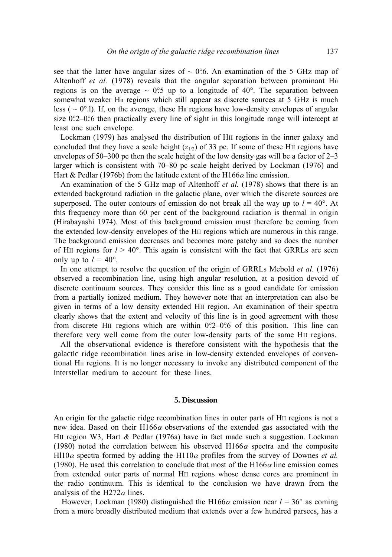see that the latter have angular sizes of  $\sim$  0°.6. An examination of the 5 GHz map of Altenhoff *et al.* (1978) reveals that the angular separation between prominant  $H_{II}$ regions is on the average  $\sim 0.5$  up to a longitude of 40°. The separation between somewhat weaker H<sub>II</sub> regions which still appear as discrete sources at 5 GHz is much less (  $\sim$  0°.1). If, on the average, these H<sub>II</sub> regions have low-density envelopes of angular size 0?2–0?6 then practically every line of sight in this longitude range will intercept at least one such envelope.

Lockman (1979) has analysed the distribution of HII regions in the inner galaxy and concluded that they have a scale height  $(z_{1/2})$  of 33 pc. If some of these HII regions have envelopes of 50–300 pc then the scale height of the low density gas will be a factor of 2–3 larger which is consistent with 70–80 pc scale height derived by Lockman (1976) and Hart & Pedlar (1976b) from the latitude extent of the H166 $\alpha$  line emission.

An examination of the 5 GHz map of Altenhoff *et al.* (1978) shows that there is an extended background radiation in the galactic plane, over which the discrete sources are superposed. The outer contours of emission do not break all the way up to  $l = 40^{\circ}$ . At this frequency more than 60 per cent of the background radiation is thermal in origin (Hirabayashi 1974). Most of this background emission must therefore be coming from the extended low-density envelopes of the HII regions which are numerous in this range. The background emission decreases and becomes more patchy and so does the number of H<sub>II</sub> regions for  $l > 40^{\circ}$ . This again is consistent with the fact that GRRLs are seen only up to  $l = 40^{\circ}$ .

In one attempt to resolve the question of the origin of GRRLs Mebold *et al.* (1976) observed a recombination line, using high angular resolution, at a position devoid of discrete continuum sources. They consider this line as a good candidate for emission from a partially ionized medium. They however note that an interpretation can also be given in terms of a low density extended HII region. An examination of their spectra clearly shows that the extent and velocity of this line is in good agreement with those from discrete HII regions which are within  $0^\circ$ 2-0 $^\circ$ 6 of this position. This line can therefore very well come from the outer low-density parts of the same HII regions.

All the observational evidence is therefore consistent with the hypothesis that the galactic ridge recombination lines arise in low-density extended envelopes of conventional HII regions. It is no longer necessary to invoke any distributed component of the interstellar medium to account for these lines.

#### **5. Discussion**

An origin for the galactic ridge recombination lines in outer parts of HII regions is not a new idea. Based on their  $H166\alpha$  observations of the extended gas associated with the HII region W3, Hart *&* Pedlar (1976a) have in fact made such a suggestion. Lockman (1980) noted the correlation between his observed H166 $\alpha$  spectra and the composite Hl10 $\alpha$  spectra formed by adding the H110 $\alpha$  profiles from the survey of Downes *et al.* (1980). He used this correlation to conclude that most of the H166 $\alpha$  line emission comes from extended outer parts of normal HII regions whose dense cores are prominent in the radio continuum. This is identical to the conclusion we have drawn from the analysis of the H272 $\alpha$  lines.

However, Lockman (1980) distinguished the H166 $\alpha$  emission near  $l = 36^\circ$  as coming from a more broadly distributed medium that extends over a few hundred parsecs, has a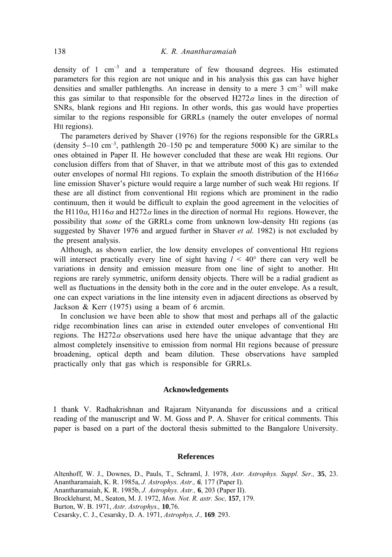density of 1  $cm^{-3}$  and a temperature of few thousand degrees. His estimated parameters for this region are not unique and in his analysis this gas can have higher densities and smaller pathlengths. An increase in density to a mere  $3 \text{ cm}^{-3}$  will make this gas similar to that responsible for the observed H272 $\alpha$  lines in the direction of SNRs, blank regions and HII regions. In other words, this gas would have properties similar to the regions responsible for GRRLs (namely the outer envelopes of normal HII regions).

The parameters derived by Shaver (1976) for the regions responsible for the GRRLs (density  $5-10$  cm<sup>-3</sup>, pathlength 20-150 pc and temperature 5000 K) are similar to the ones obtained in Paper II. He however concluded that these are weak HII regions. Our conclusion differs from that of Shaver, in that we attribute most of this gas to extended outer envelopes of normal HII regions. To explain the smooth distribution of the H166 $\alpha$ line emission Shaver's picture would require a large number of such weak HII regions. If these are all distinct from conventional HII regions which are prominent in the radio continuum, then it would be difficult to explain the good agreement in the velocities of the H110 $\alpha$ , H116 $\alpha$  and H272 $\alpha$  lines in the direction of normal H<sub>II</sub> regions. However, the possibility that *some* of the GRRLs come from unknown low-density HII regions (as suggested by Shaver 1976 and argued further in Shaver *et al.* 1982) is not excluded by the present analysis.

Although, as shown earlier, the low density envelopes of conventional HII regions will intersect practically every line of sight having  $l < 40^{\circ}$  there can very well be variations in density and emission measure from one line of sight to another. HII regions are rarely symmetric, uniform density objects. There will be a radial gradient as well as fluctuations in the density both in the core and in the outer envelope. As a result, one can expect variations in the line intensity even in adjacent directions as observed by Jackson & Kerr (1975) using a beam of 6 arcmin.

In conclusion we have been able to show that most and perhaps all of the galactic ridge recombination lines can arise in extended outer envelopes of conventional HII regions. The H272 $\alpha$  observations used here have the unique advantage that they are almost completely insensitive to emission from normal HII regions because of pressure broadening, optical depth and beam dilution. These observations have sampled practically only that gas which is responsible for GRRLs.

### **Acknowledgements**

I thank V. Radhakrishnan and Rajaram Nityananda for discussions and a critical reading of the manuscript and W. M. Goss and P. A. Shaver for critical comments. This paper is based on a part of the doctoral thesis submitted to the Bangalore University.

#### **References**

Altenhoff, W. J., Downes, D., Pauls, T., Schraml, J. 1978, *Astr. Astrophys. Suppl. Ser.,* **35**, 23. Anantharamaiah, K. R. 1985a, *J. Astrophys. Astr., 6,* 177 (Paper I). Anantharamaiah, K. R. 1985b, *J. Astrophys. Astr.,* **6**, 203 (Paper II). Brocklehurst, M., Seaton, M. J. 1972, *Mon. Not. R. astr. Soc,* **157**, 179. Burton, W. B. 1971, *Astr. Astrophys.,* **10**,76. Cesarsky, C. J., Cesarsky, D. A. 1971, *Astrophys, J.,* **169**: 293.